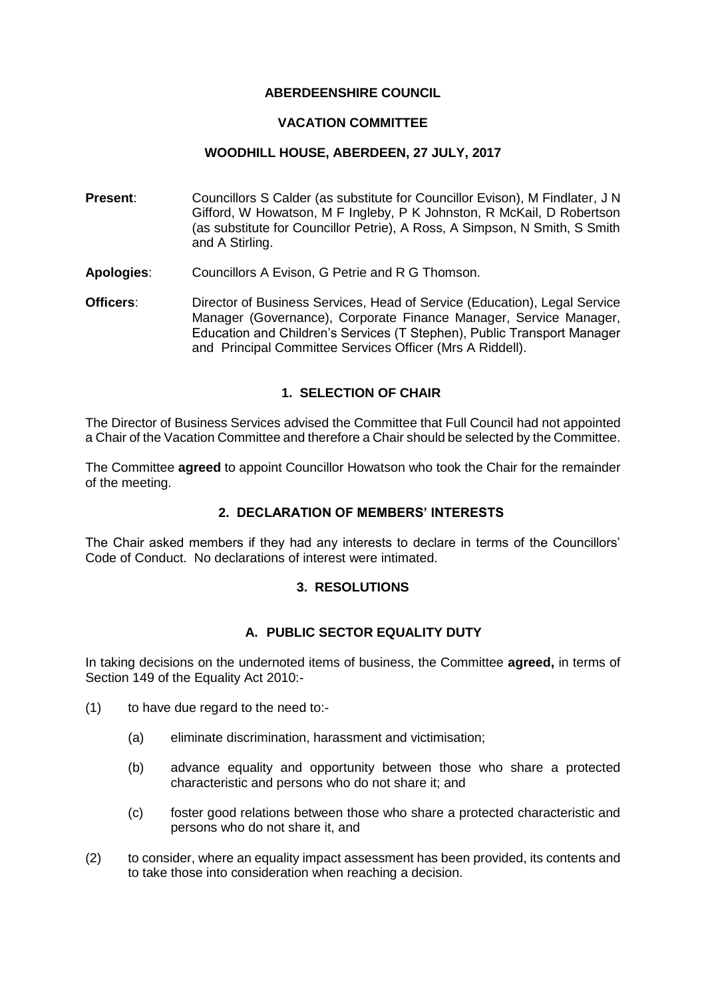#### **ABERDEENSHIRE COUNCIL**

#### **VACATION COMMITTEE**

#### **WOODHILL HOUSE, ABERDEEN, 27 JULY, 2017**

- **Present:** Councillors S Calder (as substitute for Councillor Evison), M Findlater, J N Gifford, W Howatson, M F Ingleby, P K Johnston, R McKail, D Robertson (as substitute for Councillor Petrie), A Ross, A Simpson, N Smith, S Smith and A Stirling.
- **Apologies**: Councillors A Evison, G Petrie and R G Thomson.
- **Officers**: Director of Business Services, Head of Service (Education), Legal Service Manager (Governance), Corporate Finance Manager, Service Manager, Education and Children's Services (T Stephen), Public Transport Manager and Principal Committee Services Officer (Mrs A Riddell).

### **1. SELECTION OF CHAIR**

The Director of Business Services advised the Committee that Full Council had not appointed a Chair of the Vacation Committee and therefore a Chair should be selected by the Committee.

The Committee **agreed** to appoint Councillor Howatson who took the Chair for the remainder of the meeting.

### **2. DECLARATION OF MEMBERS' INTERESTS**

The Chair asked members if they had any interests to declare in terms of the Councillors' Code of Conduct. No declarations of interest were intimated.

### **3. RESOLUTIONS**

### **A. PUBLIC SECTOR EQUALITY DUTY**

In taking decisions on the undernoted items of business, the Committee **agreed,** in terms of Section 149 of the Equality Act 2010:-

- (1) to have due regard to the need to:-
	- (a) eliminate discrimination, harassment and victimisation;
	- (b) advance equality and opportunity between those who share a protected characteristic and persons who do not share it; and
	- (c) foster good relations between those who share a protected characteristic and persons who do not share it, and
- (2) to consider, where an equality impact assessment has been provided, its contents and to take those into consideration when reaching a decision.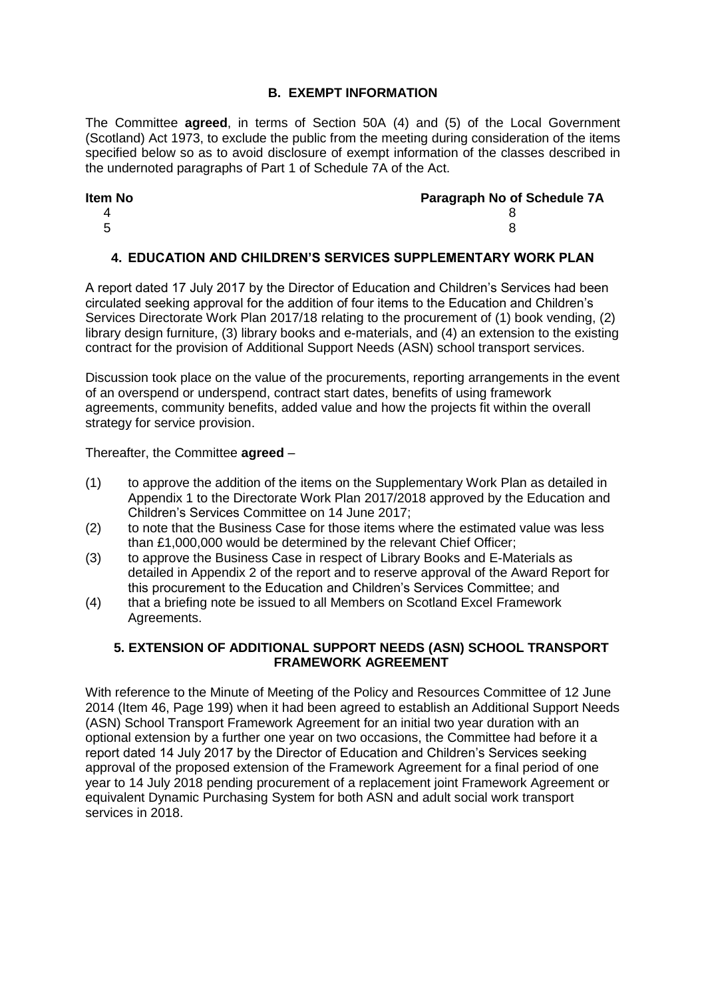## **B. EXEMPT INFORMATION**

The Committee **agreed**, in terms of Section 50A (4) and (5) of the Local Government (Scotland) Act 1973, to exclude the public from the meeting during consideration of the items specified below so as to avoid disclosure of exempt information of the classes described in the undernoted paragraphs of Part 1 of Schedule 7A of the Act.

## **Item No Paragraph No of Schedule 7A** 4 8  $5$  8

# **4. EDUCATION AND CHILDREN'S SERVICES SUPPLEMENTARY WORK PLAN**

A report dated 17 July 2017 by the Director of Education and Children's Services had been circulated seeking approval for the addition of four items to the Education and Children's Services Directorate Work Plan 2017/18 relating to the procurement of (1) book vending, (2) library design furniture, (3) library books and e-materials, and (4) an extension to the existing contract for the provision of Additional Support Needs (ASN) school transport services.

Discussion took place on the value of the procurements, reporting arrangements in the event of an overspend or underspend, contract start dates, benefits of using framework agreements, community benefits, added value and how the projects fit within the overall strategy for service provision.

Thereafter, the Committee **agreed** –

- (1) to approve the addition of the items on the Supplementary Work Plan as detailed in Appendix 1 to the Directorate Work Plan 2017/2018 approved by the Education and Children's Services Committee on 14 June 2017;
- (2) to note that the Business Case for those items where the estimated value was less than £1,000,000 would be determined by the relevant Chief Officer;
- (3) to approve the Business Case in respect of Library Books and E-Materials as detailed in Appendix 2 of the report and to reserve approval of the Award Report for this procurement to the Education and Children's Services Committee; and
- (4) that a briefing note be issued to all Members on Scotland Excel Framework Agreements.

## **5. EXTENSION OF ADDITIONAL SUPPORT NEEDS (ASN) SCHOOL TRANSPORT FRAMEWORK AGREEMENT**

With reference to the Minute of Meeting of the Policy and Resources Committee of 12 June 2014 (Item 46, Page 199) when it had been agreed to establish an Additional Support Needs (ASN) School Transport Framework Agreement for an initial two year duration with an optional extension by a further one year on two occasions, the Committee had before it a report dated 14 July 2017 by the Director of Education and Children's Services seeking approval of the proposed extension of the Framework Agreement for a final period of one year to 14 July 2018 pending procurement of a replacement joint Framework Agreement or equivalent Dynamic Purchasing System for both ASN and adult social work transport services in 2018.